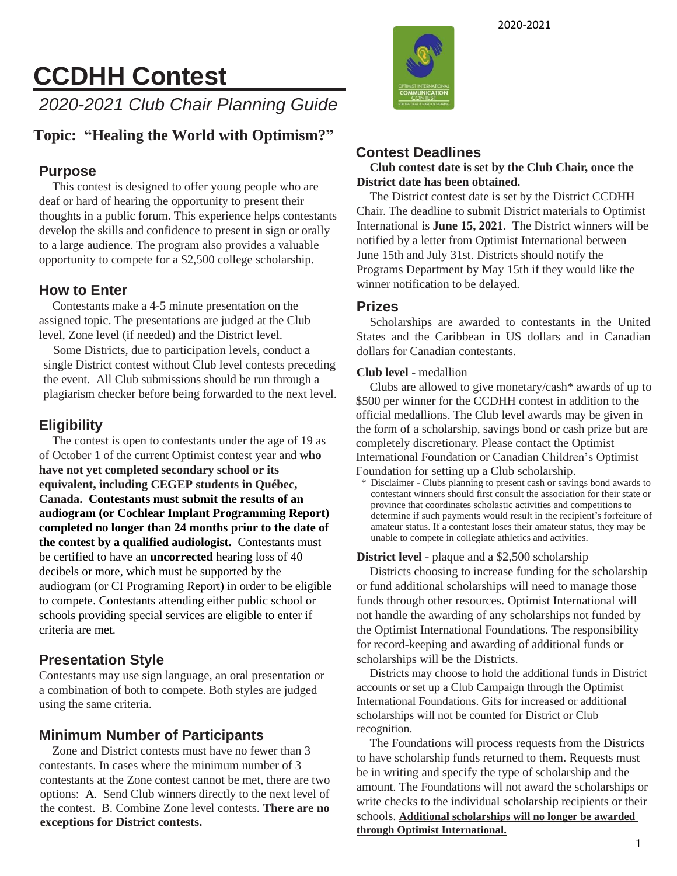# **CCDHH Contest**

*2020-2021 Club Chair Planning Guide*

### **Topic: "Healing the World with Optimism?"**

#### **Purpose**

This contest is designed to offer young people who are deaf or hard of hearing the opportunity to present their thoughts in a public forum. This experience helps contestants develop the skills and confidence to present in sign or orally to a large audience. The program also provides a valuable opportunity to compete for a \$2,500 college scholarship.

#### **How to Enter**

Contestants make a 4-5 minute presentation on the assigned topic. The presentations are judged at the Club level, Zone level (if needed) and the District level.

Some Districts, due to participation levels, conduct a single District contest without Club level contests preceding the event. All Club submissions should be run through a plagiarism checker before being forwarded to the next level.

### **Eligibility**

The contest is open to contestants under the age of 19 as of October 1 of the current Optimist contest year and **who have not yet completed secondary school or its equivalent, including CEGEP students in Québec, Canada. Contestants must submit the results of an audiogram (or Cochlear Implant Programming Report) completed no longer than 24 months prior to the date of the contest by a qualified audiologist.** Contestants must be certified to have an **uncorrected** hearing loss of 40 decibels or more, which must be supported by the audiogram (or CI Programing Report) in order to be eligible to compete. Contestants attending either public school or schools providing special services are eligible to enter if criteria are met.

#### **Presentation Style**

Contestants may use sign language, an oral presentation or a combination of both to compete. Both styles are judged using the same criteria.

#### **Minimum Number of Participants**

Zone and District contests must have no fewer than 3 contestants. In cases where the minimum number of 3 contestants at the Zone contest cannot be met, there are two options: A. Send Club winners directly to the next level of the contest. B. Combine Zone level contests. **There are no exceptions for District contests.**



#### **Contest Deadlines**

**Club contest date is set by the Club Chair, once the District date has been obtained.**

The District contest date is set by the District CCDHH Chair. The deadline to submit District materials to Optimist International is **June 15, 2021**. The District winners will be notified by a letter from Optimist International between June 15th and July 31st. Districts should notify the Programs Department by May 15th if they would like the winner notification to be delayed.

#### **Prizes**

Scholarships are awarded to contestants in the United States and the Caribbean in US dollars and in Canadian dollars for Canadian contestants.

#### **Club level** - medallion

Clubs are allowed to give monetary/cash\* awards of up to \$500 per winner for the CCDHH contest in addition to the official medallions. The Club level awards may be given in the form of a scholarship, savings bond or cash prize but are completely discretionary. Please contact the Optimist International Foundation or Canadian Children's Optimist Foundation for setting up a Club scholarship.

Disclaimer - Clubs planning to present cash or savings bond awards to contestant winners should first consult the association for their state or province that coordinates scholastic activities and competitions to determine if such payments would result in the recipient's forfeiture of amateur status. If a contestant loses their amateur status, they may be unable to compete in collegiate athletics and activities.

#### **District level** - plaque and a \$2,500 scholarship

Districts choosing to increase funding for the scholarship or fund additional scholarships will need to manage those funds through other resources. Optimist International will not handle the awarding of any scholarships not funded by the Optimist International Foundations. The responsibility for record-keeping and awarding of additional funds or scholarships will be the Districts.

Districts may choose to hold the additional funds in District accounts or set up a Club Campaign through the Optimist International Foundations. Gifs for increased or additional scholarships will not be counted for District or Club recognition.

The Foundations will process requests from the Districts to have scholarship funds returned to them. Requests must be in writing and specify the type of scholarship and the amount. The Foundations will not award the scholarships or write checks to the individual scholarship recipients or their schools. **Additional scholarships will no longer be awarded through Optimist International.**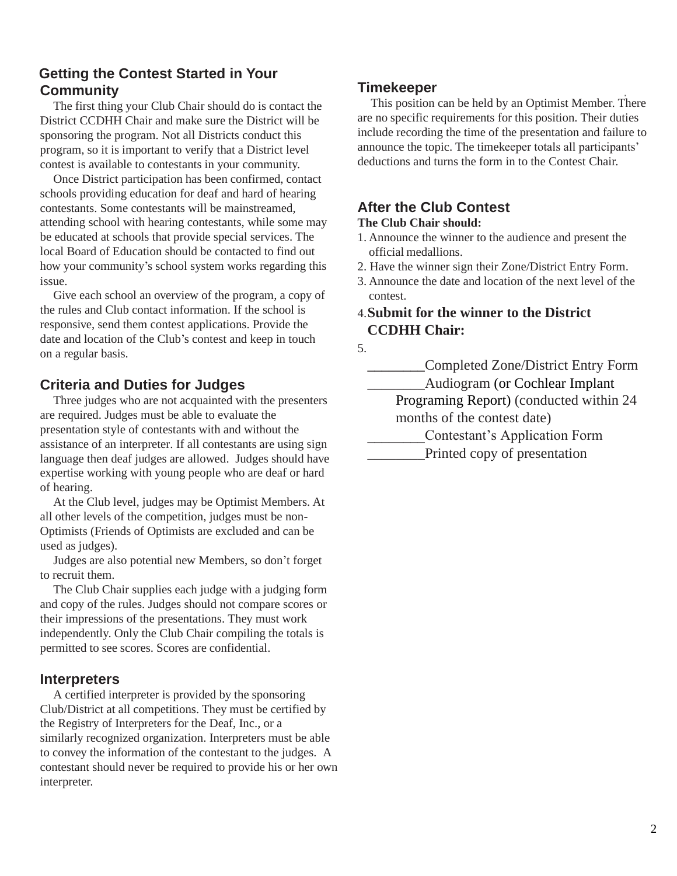#### **Getting the Contest Started in Your Community**

The first thing your Club Chair should do is contact the District CCDHH Chair and make sure the District will be sponsoring the program. Not all Districts conduct this program, so it is important to verify that a District level contest is available to contestants in your community.

Once District participation has been confirmed, contact schools providing education for deaf and hard of hearing contestants. Some contestants will be mainstreamed, attending school with hearing contestants, while some may be educated at schools that provide special services. The local Board of Education should be contacted to find out how your community's school system works regarding this issue.

Give each school an overview of the program, a copy of the rules and Club contact information. If the school is responsive, send them contest applications. Provide the date and location of the Club's contest and keep in touch on a regular basis.

#### **Criteria and Duties for Judges**

Three judges who are not acquainted with the presenters are required. Judges must be able to evaluate the presentation style of contestants with and without the assistance of an interpreter. If all contestants are using sign language then deaf judges are allowed. Judges should have expertise working with young people who are deaf or hard of hearing.

At the Club level, judges may be Optimist Members. At all other levels of the competition, judges must be non-Optimists (Friends of Optimists are excluded and can be used as judges).

Judges are also potential new Members, so don't forget to recruit them.

The Club Chair supplies each judge with a judging form and copy of the rules. Judges should not compare scores or their impressions of the presentations. They must work independently. Only the Club Chair compiling the totals is permitted to see scores. Scores are confidential.

#### **Interpreters**

A certified interpreter is provided by the sponsoring Club/District at all competitions. They must be certified by the Registry of Interpreters for the Deaf, Inc., or a similarly recognized organization. Interpreters must be able to convey the information of the contestant to the judges. A contestant should never be required to provide his or her own interpreter.

#### **Timekeeper**

This position can be held by an Optimist Member. There are no specific requirements for this position. Their duties include recording the time of the presentation and failure to announce the topic. The timekeeper totals all participants' deductions and turns the form in to the Contest Chair.

### **After the Club Contest**

#### **The Club Chair should:**

- 1. Announce the winner to the audience and present the official medallions.
- 2. Have the winner sign their Zone/District Entry Form.
- 3. Announce the date and location of the next level of the contest.

#### 4.**Submit for the winner to the District CCDHH Chair:**

5.

**\_\_\_\_\_\_\_\_**Completed Zone/District Entry Form

\_\_\_\_\_\_\_\_Audiogram (or Cochlear Implant

Programing Report) (conducted within 24 months of the contest date)

\_\_\_\_\_\_\_\_Contestant's Application Form

\_\_\_\_\_\_\_\_Printed copy of presentation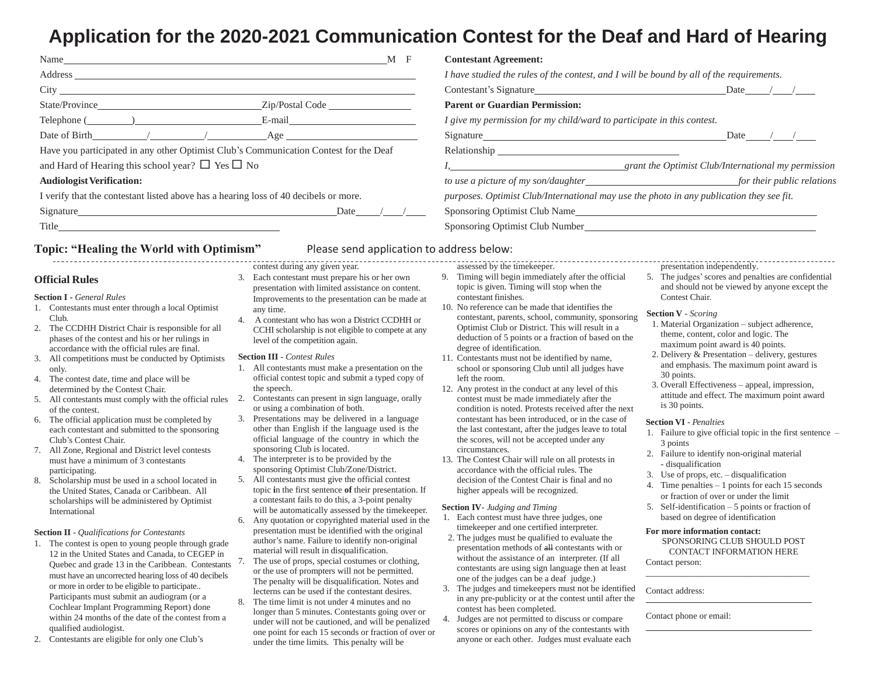### **Application for the 2020-2021 Communication Contest for the Deaf and Hard of Hearing**

| M F<br>Name and the same state of the state of the state of the state of the state of the state of the state of the state of the state of the state of the state of the state of the state of the state of the state of the state of | <b>Contestant Agreement:</b>                                                                                                                                                                                                   |                                                     |  |  |  |
|--------------------------------------------------------------------------------------------------------------------------------------------------------------------------------------------------------------------------------------|--------------------------------------------------------------------------------------------------------------------------------------------------------------------------------------------------------------------------------|-----------------------------------------------------|--|--|--|
|                                                                                                                                                                                                                                      | I have studied the rules of the contest, and I will be bound by all of the requirements.                                                                                                                                       |                                                     |  |  |  |
|                                                                                                                                                                                                                                      | Contestant's Signature                                                                                                                                                                                                         | Date / /                                            |  |  |  |
| Zip/Postal Code<br>State/Province                                                                                                                                                                                                    | <b>Parent or Guardian Permission:</b>                                                                                                                                                                                          |                                                     |  |  |  |
| Telephone ()<br>E-mail<br><u> 1989 - Jan Stein Stein Stein Stein Stein Stein Stein Stein Stein Stein Stein Stein Stein Stein Stein Stein S</u>                                                                                       | I give my permission for my child/ward to participate in this contest.                                                                                                                                                         |                                                     |  |  |  |
| Age                                                                                                                                                                                                                                  |                                                                                                                                                                                                                                | Date                                                |  |  |  |
| Have you participated in any other Optimist Club's Communication Contest for the Deaf                                                                                                                                                | Relationship Nelson and Contact the Contact of the Contact of the Contact of the Contact of the Contact of the Contact of the Contact of the Contact of the Contact of the Contact of the Contact of the Contact of the Contac |                                                     |  |  |  |
| and Hard of Hearing this school year? $\Box$ Yes $\Box$ No                                                                                                                                                                           |                                                                                                                                                                                                                                | grant the Optimist Club/International my permission |  |  |  |
| <b>Audiologist Verification:</b>                                                                                                                                                                                                     |                                                                                                                                                                                                                                |                                                     |  |  |  |
| I verify that the contestant listed above has a hearing loss of 40 decibels or more.                                                                                                                                                 | purposes. Optimist Club/International may use the photo in any publication they see fit.                                                                                                                                       |                                                     |  |  |  |
| Date                                                                                                                                                                                                                                 |                                                                                                                                                                                                                                |                                                     |  |  |  |
| Title that the contract of the contract of the contract of the contract of the contract of the contract of the contract of the contract of the contract of the contract of the contract of the contract of the contract of the       | Sponsoring Optimist Club Number Club Number Club Number Club Number Club Number Club Number Club Number Club Number Club Number Club Number Club Number Club Number Club Number Club Number Club Number Club Number Club Numbe |                                                     |  |  |  |
| Topic: "Healing the World with Optimism"<br>Please send application to address below:                                                                                                                                                |                                                                                                                                                                                                                                |                                                     |  |  |  |
| contest during any given year.                                                                                                                                                                                                       | assessed by the time keeper.<br>presentation independently.                                                                                                                                                                    |                                                     |  |  |  |

#### **Official Rules**

#### **Section I -** *General Rules*

- 1. Contestants must enter through a local Optimist Club.
- 2. The CCDHH District Chair is responsible for all phases of the contest and his or her rulings in accordance with the official rules are final.
- 3. All competitions must be conducted by Optimists only.
- 4. The contest date, time and place will be determined by the Contest Chair.
- 5. All contestants must comply with the official rules of the contest.
- 6. The official application must be completed by each contestant and submitted to the sponsoring Club's Contest Chair.
- 7. All Zone, Regional and District level contests must have a minimum of 3 contestants participating.
- 8. Scholarship must be used in a school located in the United States, Canada or Caribbean. All scholarships will be administered by Optimist International

**Section II** - *Qualifications for Contestants*

- 1. The contest is open to young people through grade 12 in the United States and Canada, to CEGEP in Quebec and grade 13 in the Caribbean. Contestants must have an uncorrected hearing loss of 40 decibels or more in order to be eligible to participate.. Participants must submit an audiogram (or a Cochlear Implant Programming Report) done within 24 months of the date of the contest from a qualified audiologist.
- 2. Contestants are eligible for only one Club's
- contest during any given year. 3. Each contestant must prepare his or her own presentation with limited assistance on content. Improvements to the presentation can be made at any time.
- 4. A contestant who has won a District CCDHH or CCHI scholarship is not eligible to compete at any level of the competition again.

**Section III** - *Contest Rules*

- 1. All contestants must make a presentation on the official contest topic and submit a typed copy of the speech.
- 2. Contestants can present in sign language, orally or using a combination of both.
- 3. Presentations may be delivered in a language other than English if the language used is the official language of the country in which the sponsoring Club is located.
- 4. The interpreter is to be provided by the sponsoring Optimist Club/Zone/District.
- 5. All contestants must give the official contest topic **i**n the first sentence **of** their presentation. If a contestant fails to do this, a 3-point penalty will be automatically assessed by the timekeeper.
- 6. Any quotation or copyrighted material used in the presentation must be identified with the original author's name. Failure to identify non-original material will result in disqualification.
- 7. The use of props, special costumes or clothing, or the use of prompters will not be permitted. The penalty will be disqualification. Notes and lecterns can be used if the contestant desires.
- 8. The time limit is not under 4 minutes and no longer than 5 minutes. Contestants going over or under will not be cautioned, and will be penalized one point for each 15 seconds or fraction of over or under the time limits. This penalty will be
- 9. Timing will begin immediately after the official topic is given. Timing will stop when the contestant finishes.
- 10. No reference can be made that identifies the contestant, parents, school, community, sponsoring Optimist Club or District. This will result in a deduction of 5 points or a fraction of based on the degree of identification.
- 11. Contestants must not be identified by name, school or sponsoring Club until all judges have left the room.
- 12. Any protest in the conduct at any level of this contest must be made immediately after the condition is noted. Protests received after the next contestant has been introduced, or in the case of the last contestant, after the judges leave to total the scores, will not be accepted under any circumstances.
- 13. The Contest Chair will rule on all protests in accordance with the official rules. The decision of the Contest Chair is final and no higher appeals will be recognized.

**Section IV**- *Judging and Timing*

- 1. Each contest must have three judges, one timekeeper and one certified interpreter.
- 2. The judges must be qualified to evaluate the presentation methods of all contestants with or without the assistance of an interpreter. (If all contestants are using sign language then at least one of the judges can be a deaf judge.)
- 3. The judges and timekeepers must not be identified in any pre-publicity or at the contest until after the contest has been completed.
- 4. Judges are not permitted to discuss or compare scores or opinions on any of the contestants with anyone or each other. Judges must evaluate each
- presentation independently.
- 5. The judges'scores and penalties are confidential and should not be viewed by anyone except the Contest Chair.

#### **Section V** - *Scoring*

- 1. Material Organization subject adherence, theme, content, color and logic. The maximum point award is 40 points.
- 2. Delivery & Presentation delivery, gestures and emphasis. The maximum point award is 30 points.
- 3. Overall Effectiveness appeal, impression, attitude and effect. The maximum point award is 30 points.

#### **Section VI** - *Penalties*

- 1. Failure to give official topic in the first sentence 3 points
- 2. Failure to identify non-original material - disqualification
- 3. Use of props, etc. disqualification
- 4. Time penalties 1 points for each 15 seconds or fraction of over or under the limit
- 5. Self-identification 5 points or fraction of based on degree of identification

#### **For more information contact:**

SPONSORING CLUB SHOULD POST CONTACT INFORMATION HERE Contact person: \_\_\_\_\_\_\_\_\_\_\_\_\_\_\_\_\_\_\_\_\_\_\_\_\_\_\_\_\_\_\_\_\_\_\_\_\_

Contact address:  $\overline{a}$ 

Contact phone or email:  $\overline{a}$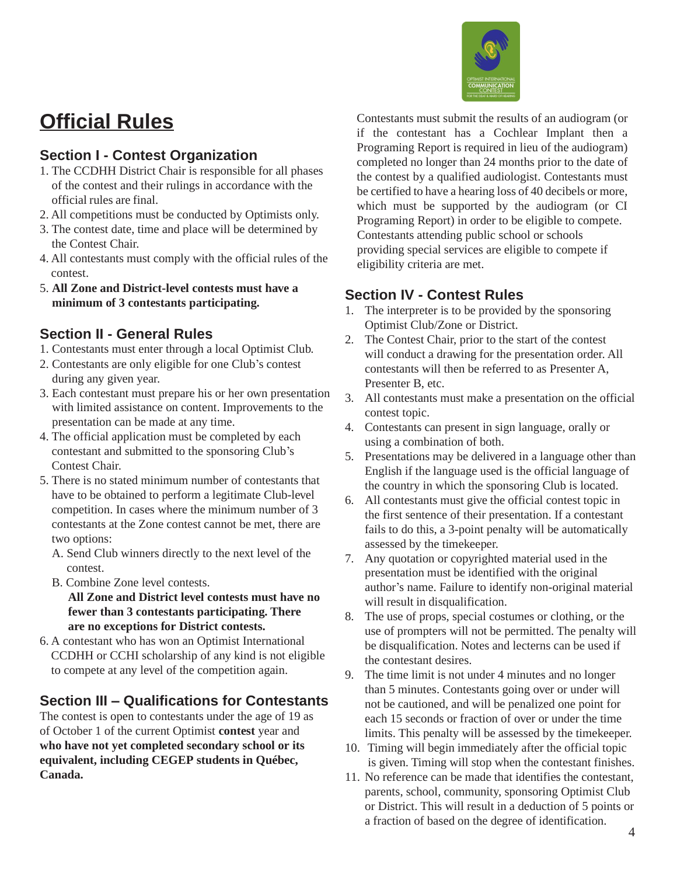## **Official Rules**

#### **Section I - Contest Organization**

- 1. The CCDHH District Chair is responsible for all phases of the contest and their rulings in accordance with the official rules are final.
- 2. All competitions must be conducted by Optimists only.
- 3. The contest date, time and place will be determined by the Contest Chair.
- 4. All contestants must comply with the official rules of the contest.
- 5. **All Zone and District-level contests must have a minimum of 3 contestants participating.**

#### **Section II - General Rules**

- 1. Contestants must enter through a local Optimist Club.
- 2. Contestants are only eligible for one Club's contest during any given year.
- 3. Each contestant must prepare his or her own presentation with limited assistance on content. Improvements to the presentation can be made at any time.
- 4. The official application must be completed by each contestant and submitted to the sponsoring Club's Contest Chair.
- 5. There is no stated minimum number of contestants that have to be obtained to perform a legitimate Club-level competition. In cases where the minimum number of 3 contestants at the Zone contest cannot be met, there are two options:
	- A. Send Club winners directly to the next level of the contest.
	- B. Combine Zone level contests.
	- **All Zone and District level contests must have no fewer than 3 contestants participating. There are no exceptions for District contests.**
- 6. A contestant who has won an Optimist International CCDHH or CCHI scholarship of any kind is not eligible to compete at any level of the competition again.

### **Section III – Qualifications for Contestants**

The contest is open to contestants under the age of 19 as of October 1 of the current Optimist **contest** year and **who have not yet completed secondary school or its equivalent, including CEGEP students in Québec, Canada.**

Contestants must submit the results of an audiogram (or if the contestant has a Cochlear Implant then a Programing Report is required in lieu of the audiogram) completed no longer than 24 months prior to the date of the contest by a qualified audiologist. Contestants must be certified to have a hearing loss of 40 decibels or more, which must be supported by the audiogram (or CI Programing Report) in order to be eligible to compete. Contestants attending public school or schools providing special services are eligible to compete if eligibility criteria are met.

#### **Section IV - Contest Rules**

- 1. The interpreter is to be provided by the sponsoring Optimist Club/Zone or District.
- 2. The Contest Chair, prior to the start of the contest will conduct a drawing for the presentation order. All contestants will then be referred to as Presenter A, Presenter B, etc.
- 3. All contestants must make a presentation on the official contest topic.
- 4. Contestants can present in sign language, orally or using a combination of both.
- 5. Presentations may be delivered in a language other than English if the language used is the official language of the country in which the sponsoring Club is located.
- 6. All contestants must give the official contest topic in the first sentence of their presentation. If a contestant fails to do this, a 3-point penalty will be automatically assessed by the timekeeper.
- 7. Any quotation or copyrighted material used in the presentation must be identified with the original author's name. Failure to identify non-original material will result in disqualification.
- 8. The use of props, special costumes or clothing, or the use of prompters will not be permitted. The penalty will be disqualification. Notes and lecterns can be used if the contestant desires.
- 9. The time limit is not under 4 minutes and no longer than 5 minutes. Contestants going over or under will not be cautioned, and will be penalized one point for each 15 seconds or fraction of over or under the time limits. This penalty will be assessed by the timekeeper.
- 10. Timing will begin immediately after the official topic is given. Timing will stop when the contestant finishes.
- 11. No reference can be made that identifies the contestant, parents, school, community, sponsoring Optimist Club or District. This will result in a deduction of 5 points or a fraction of based on the degree of identification.

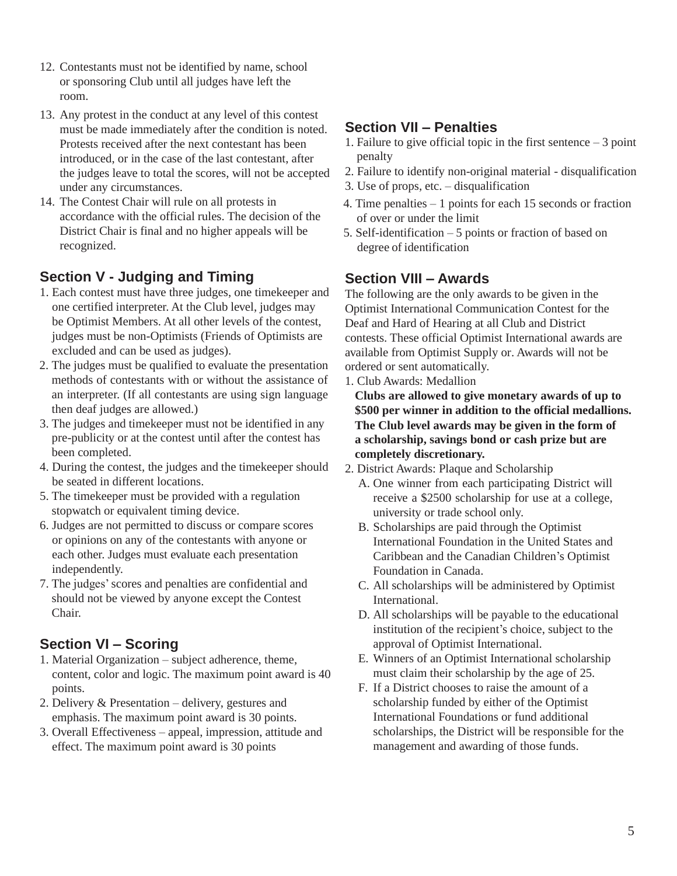- 12. Contestants must not be identified by name, school or sponsoring Club until all judges have left the room.
- 13. Any protest in the conduct at any level of this contest must be made immediately after the condition is noted. Protests received after the next contestant has been introduced, or in the case of the last contestant, after the judges leave to total the scores, will not be accepted under any circumstances.
- 14. The Contest Chair will rule on all protests in accordance with the official rules. The decision of the District Chair is final and no higher appeals will be recognized.

#### **Section V - Judging and Timing**

- 1. Each contest must have three judges, one timekeeper and one certified interpreter. At the Club level, judges may be Optimist Members. At all other levels of the contest, judges must be non-Optimists (Friends of Optimists are excluded and can be used as judges).
- 2. The judges must be qualified to evaluate the presentation methods of contestants with or without the assistance of an interpreter. (If all contestants are using sign language then deaf judges are allowed.)
- 3. The judges and timekeeper must not be identified in any pre-publicity or at the contest until after the contest has been completed.
- 4. During the contest, the judges and the timekeeper should be seated in different locations.
- 5. The timekeeper must be provided with a regulation stopwatch or equivalent timing device.
- 6. Judges are not permitted to discuss or compare scores or opinions on any of the contestants with anyone or each other. Judges must evaluate each presentation independently.
- 7. The judges'scores and penalties are confidential and should not be viewed by anyone except the Contest Chair.

#### **Section VI – Scoring**

- 1. Material Organization subject adherence, theme, content, color and logic. The maximum point award is 40 points.
- 2. Delivery & Presentation delivery, gestures and emphasis. The maximum point award is 30 points.
- 3. Overall Effectiveness appeal, impression, attitude and effect. The maximum point award is 30 points

#### **Section VII – Penalties**

- 1. Failure to give official topic in the first sentence 3 point penalty
- 2. Failure to identify non-original material disqualification
- 3. Use of props, etc. disqualification
- 4. Time penalties 1 points for each 15 seconds or fraction of over or under the limit
- 5. Self-identification 5 points or fraction of based on degree of identification

#### **Section VIII – Awards**

The following are the only awards to be given in the Optimist International Communication Contest for the Deaf and Hard of Hearing at all Club and District contests. These official Optimist International awards are available from Optimist Supply or. Awards will not be ordered or sent automatically.

1. Club Awards: Medallion

**Clubs are allowed to give monetary awards of up to \$500 per winner in addition to the official medallions. The Club level awards may be given in the form of a scholarship, savings bond or cash prize but are completely discretionary.**

- 2. District Awards: Plaque and Scholarship
	- A. One winner from each participating District will receive a \$2500 scholarship for use at a college, university or trade school only.
	- B. Scholarships are paid through the Optimist International Foundation in the United States and Caribbean and the Canadian Children's Optimist Foundation in Canada.
	- C. All scholarships will be administered by Optimist International.
	- D. All scholarships will be payable to the educational institution of the recipient's choice, subject to the approval of Optimist International.
	- E. Winners of an Optimist International scholarship must claim their scholarship by the age of 25.
	- F. If a District chooses to raise the amount of a scholarship funded by either of the Optimist International Foundations or fund additional scholarships, the District will be responsible for the management and awarding of those funds.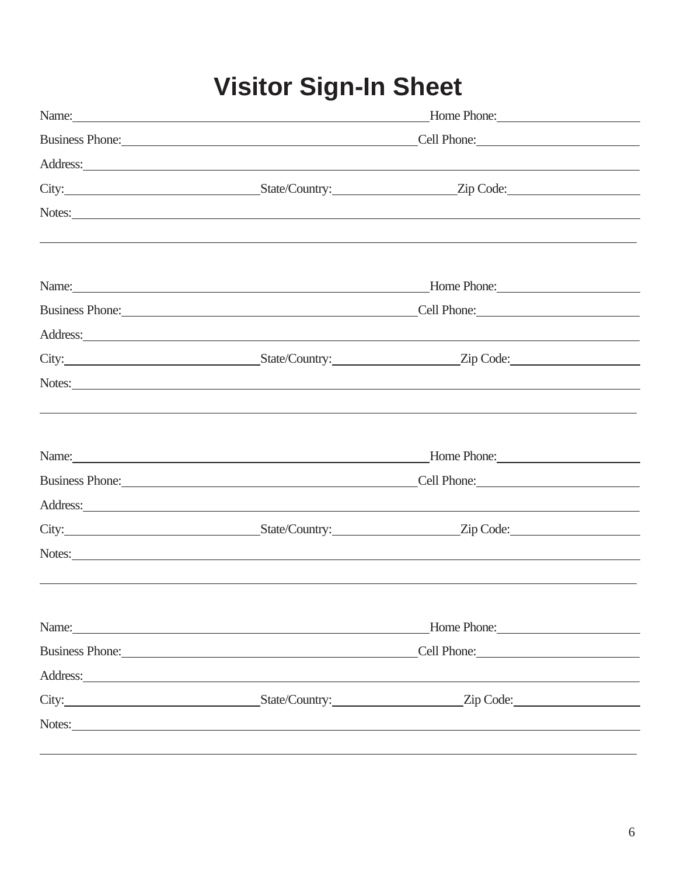# **Visitor Sign-In Sheet**

| Name: <u>Home Phone:</u>                                                                                                                                                                                                            |                                                                                                                                                                                                                                |  |  |  |  |
|-------------------------------------------------------------------------------------------------------------------------------------------------------------------------------------------------------------------------------------|--------------------------------------------------------------------------------------------------------------------------------------------------------------------------------------------------------------------------------|--|--|--|--|
|                                                                                                                                                                                                                                     | Business Phone: Cell Phone: Cell Phone:                                                                                                                                                                                        |  |  |  |  |
| Address: and the contract of the contract of the contract of the contract of the contract of the contract of the contract of the contract of the contract of the contract of the contract of the contract of the contract of t      |                                                                                                                                                                                                                                |  |  |  |  |
| City: <u>City:</u> City: City: City: Country: City: Country: City: Code: Country: City: Code: Country: City: Code: Country: City: Code: Country: City: Code: Country: City: Code: Country: City: Code: Country: City: Code: Country |                                                                                                                                                                                                                                |  |  |  |  |
| Notes: Notes:                                                                                                                                                                                                                       |                                                                                                                                                                                                                                |  |  |  |  |
|                                                                                                                                                                                                                                     |                                                                                                                                                                                                                                |  |  |  |  |
| Name: Name and the second contract of the second contract of the second contract of the second contract of the second contract of the second contract of the second contract of the second contract of the second contract of       | Home Phone:                                                                                                                                                                                                                    |  |  |  |  |
| Business Phone: Cell Phone: Cell Phone:                                                                                                                                                                                             |                                                                                                                                                                                                                                |  |  |  |  |
| Address: and the contract of the contract of the contract of the contract of the contract of the contract of the contract of the contract of the contract of the contract of the contract of the contract of the contract of t      |                                                                                                                                                                                                                                |  |  |  |  |
|                                                                                                                                                                                                                                     |                                                                                                                                                                                                                                |  |  |  |  |
| Notes: Notes:                                                                                                                                                                                                                       |                                                                                                                                                                                                                                |  |  |  |  |
|                                                                                                                                                                                                                                     |                                                                                                                                                                                                                                |  |  |  |  |
| Name: <u>Name:</u> 2006. Experimental and the set of the set of the set of the set of the set of the set of the set of the set of the set of the set of the set of the set of the set of the set of the set of the set of the set o | Home Phone: Manual Manual Manual Manual Manual Manual Manual Manual Manual Manual Manual Manual Manual Manual                                                                                                                  |  |  |  |  |
| Business Phone: Cell Phone: Cell Phone:                                                                                                                                                                                             |                                                                                                                                                                                                                                |  |  |  |  |
| Address: Note and the contract of the contract of the contract of the contract of the contract of the contract of the contract of the contract of the contract of the contract of the contract of the contract of the contract      |                                                                                                                                                                                                                                |  |  |  |  |
|                                                                                                                                                                                                                                     |                                                                                                                                                                                                                                |  |  |  |  |
| Notes:                                                                                                                                                                                                                              |                                                                                                                                                                                                                                |  |  |  |  |
|                                                                                                                                                                                                                                     |                                                                                                                                                                                                                                |  |  |  |  |
| Name: Name and the set of the set of the set of the set of the set of the set of the set of the set of the set of the set of the set of the set of the set of the set of the set of the set of the set of the set of the set o      | Home Phone: New York Contract Contract Contract Contract Contract Contract Contract Contract Contract Contract Contract Contract Contract Contract Contract Contract Contract Contract Contract Contract Contract Contract Con |  |  |  |  |
|                                                                                                                                                                                                                                     | Business Phone: Cell Phone: Cell Phone:                                                                                                                                                                                        |  |  |  |  |
| Address:                                                                                                                                                                                                                            |                                                                                                                                                                                                                                |  |  |  |  |
|                                                                                                                                                                                                                                     |                                                                                                                                                                                                                                |  |  |  |  |
| Notes: Notes:                                                                                                                                                                                                                       |                                                                                                                                                                                                                                |  |  |  |  |
|                                                                                                                                                                                                                                     |                                                                                                                                                                                                                                |  |  |  |  |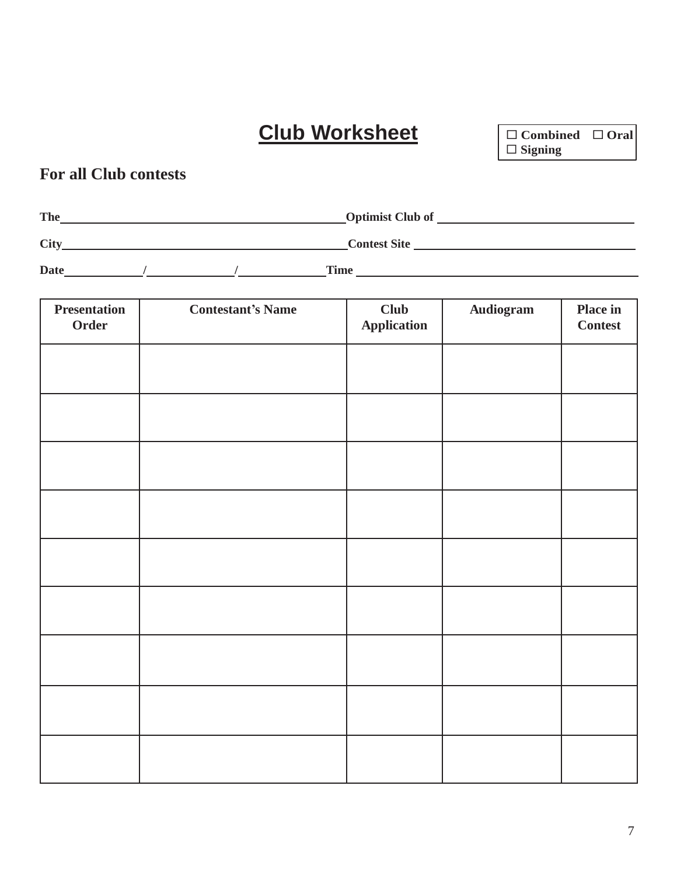**Club Worksheet Combined Oral**

**Signing**

### **For all Club contests**

| The         | <b>Optimist Club of</b> |
|-------------|-------------------------|
| <b>City</b> | <b>Contest Site</b>     |

**Date / / Time** 

| <b>Presentation</b><br>Order | <b>Contestant's Name</b> | Club<br><b>Application</b> | Audiogram | Place in<br><b>Contest</b> |
|------------------------------|--------------------------|----------------------------|-----------|----------------------------|
|                              |                          |                            |           |                            |
|                              |                          |                            |           |                            |
|                              |                          |                            |           |                            |
|                              |                          |                            |           |                            |
|                              |                          |                            |           |                            |
|                              |                          |                            |           |                            |
|                              |                          |                            |           |                            |
|                              |                          |                            |           |                            |
|                              |                          |                            |           |                            |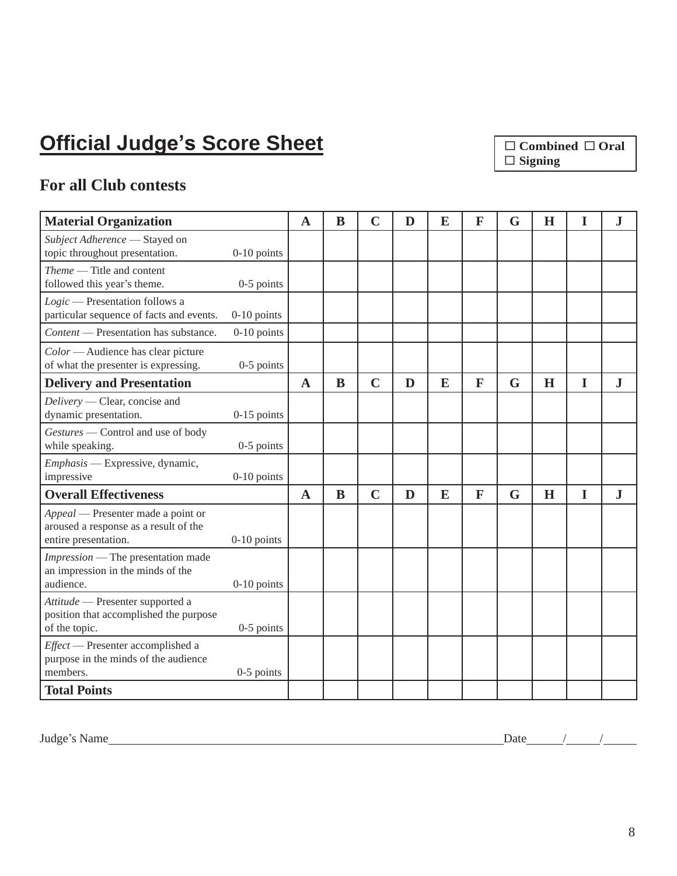# **Official Judge's Score Sheet**

 **Combined Oral Signing**

### **For all Club contests**

| <b>Material Organization</b>                                                                        |               | $\mathbf A$ | B | $\mathbf C$ | D | E | $\mathbf{F}$ | G | H | I           | ${\bf J}$ |
|-----------------------------------------------------------------------------------------------------|---------------|-------------|---|-------------|---|---|--------------|---|---|-------------|-----------|
| Subject Adherence - Stayed on<br>topic throughout presentation.                                     | $0-10$ points |             |   |             |   |   |              |   |   |             |           |
| Theme — Title and content<br>followed this year's theme.                                            | $0-5$ points  |             |   |             |   |   |              |   |   |             |           |
| Logic - Presentation follows a<br>particular sequence of facts and events.                          | $0-10$ points |             |   |             |   |   |              |   |   |             |           |
| Content — Presentation has substance.                                                               | $0-10$ points |             |   |             |   |   |              |   |   |             |           |
| Color — Audience has clear picture<br>of what the presenter is expressing.                          | $0-5$ points  |             |   |             |   |   |              |   |   |             |           |
| <b>Delivery and Presentation</b>                                                                    |               | $\mathbf A$ | B | $\mathbf C$ | D | E | $\mathbf{F}$ | G | H | I           | J         |
| Delivery — Clear, concise and<br>dynamic presentation.                                              | $0-15$ points |             |   |             |   |   |              |   |   |             |           |
| Gestures - Control and use of body<br>while speaking.                                               | 0-5 points    |             |   |             |   |   |              |   |   |             |           |
| Emphasis - Expressive, dynamic,<br>impressive                                                       | $0-10$ points |             |   |             |   |   |              |   |   |             |           |
| <b>Overall Effectiveness</b>                                                                        |               | $\mathbf A$ | B | $\mathbf C$ | D | E | $\mathbf{F}$ | G | H | $\mathbf I$ | ${\bf J}$ |
| Appeal — Presenter made a point or<br>aroused a response as a result of the<br>entire presentation. | $0-10$ points |             |   |             |   |   |              |   |   |             |           |
| Impression — The presentation made<br>an impression in the minds of the<br>audience.                | $0-10$ points |             |   |             |   |   |              |   |   |             |           |
| Attitude — Presenter supported a<br>position that accomplished the purpose<br>of the topic.         | $0-5$ points  |             |   |             |   |   |              |   |   |             |           |
| Effect - Presenter accomplished a<br>purpose in the minds of the audience<br>members.               | $0-5$ points  |             |   |             |   |   |              |   |   |             |           |
| <b>Total Points</b>                                                                                 |               |             |   |             |   |   |              |   |   |             |           |

Judge's Name Date / /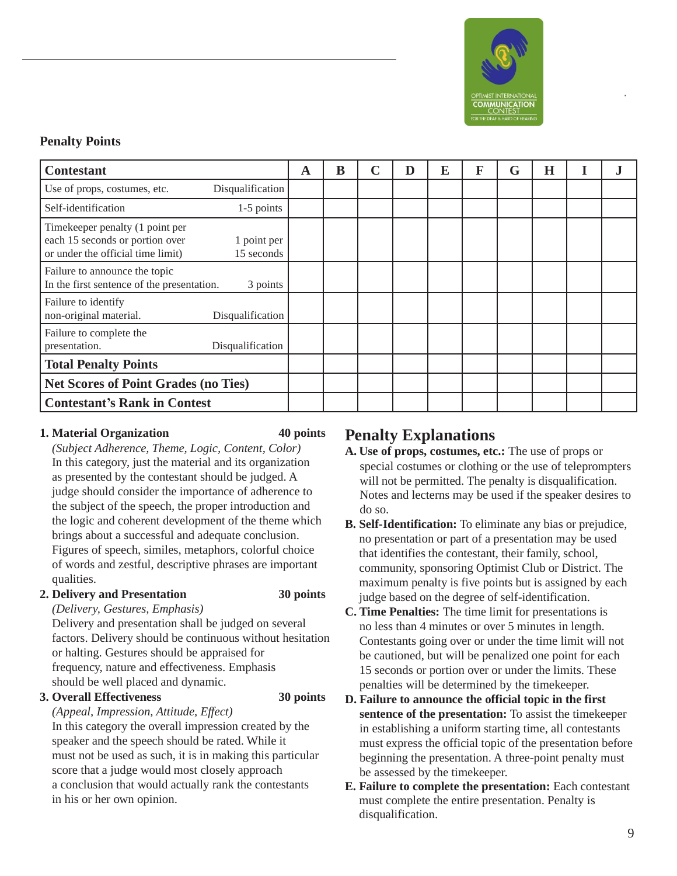

**®**

#### **Penalty Points**

| <b>Contestant</b>                                                                                                                    | A | B | C | $\mathbf D$ | E | F | G | H | J |
|--------------------------------------------------------------------------------------------------------------------------------------|---|---|---|-------------|---|---|---|---|---|
| Disqualification<br>Use of props, costumes, etc.                                                                                     |   |   |   |             |   |   |   |   |   |
| $1-5$ points<br>Self-identification                                                                                                  |   |   |   |             |   |   |   |   |   |
| Timekeeper penalty (1 point per<br>each 15 seconds or portion over<br>1 point per<br>or under the official time limit)<br>15 seconds |   |   |   |             |   |   |   |   |   |
| Failure to announce the topic<br>In the first sentence of the presentation.<br>3 points                                              |   |   |   |             |   |   |   |   |   |
| Failure to identify<br>non-original material.<br>Disqualification                                                                    |   |   |   |             |   |   |   |   |   |
| Failure to complete the<br>presentation.<br>Disqualification                                                                         |   |   |   |             |   |   |   |   |   |
| <b>Total Penalty Points</b>                                                                                                          |   |   |   |             |   |   |   |   |   |
| <b>Net Scores of Point Grades (no Ties)</b>                                                                                          |   |   |   |             |   |   |   |   |   |
| <b>Contestant's Rank in Contest</b>                                                                                                  |   |   |   |             |   |   |   |   |   |

#### **1. Material Organization 40 points**

*(Subject Adherence, Theme, Logic, Content, Color)*  In this category, just the material and its organization as presented by the contestant should be judged. A judge should consider the importance of adherence to the subject of the speech, the proper introduction and the logic and coherent development of the theme which brings about a successful and adequate conclusion. Figures of speech, similes, metaphors, colorful choice of words and zestful, descriptive phrases are important qualities.

#### **2. Delivery and Presentation 30 points**

*(Delivery, Gestures, Emphasis)*

Delivery and presentation shall be judged on several factors. Delivery should be continuous without hesitation or halting. Gestures should be appraised for frequency, nature and effectiveness. Emphasis should be well placed and dynamic.

#### **3. Overall Effectiveness 30 points**

#### *(Appeal, Impression, Attitude, Effect)*

In this category the overall impression created by the speaker and the speech should be rated. While it must not be used as such, it is in making this particular score that a judge would most closely approach a conclusion that would actually rank the contestants in his or her own opinion.

#### **Penalty Explanations**

- **A. Use of props, costumes, etc.:** The use of props or special costumes or clothing or the use of teleprompters will not be permitted. The penalty is disqualification. Notes and lecterns may be used if the speaker desires to do so.
- **B. Self-Identification:** To eliminate any bias or prejudice, no presentation or part of a presentation may be used that identifies the contestant, their family, school, community, sponsoring Optimist Club or District. The maximum penalty is five points but is assigned by each judge based on the degree of self-identification.
- **C. Time Penalties:** The time limit for presentations is no less than 4 minutes or over 5 minutes in length. Contestants going over or under the time limit will not be cautioned, but will be penalized one point for each 15 seconds or portion over or under the limits. These penalties will be determined by the timekeeper.
- **D. Failure to announce the official topic in the first sentence of the presentation:** To assist the timekeeper in establishing a uniform starting time, all contestants must express the official topic of the presentation before beginning the presentation. A three-point penalty must be assessed by the timekeeper.
- **E. Failure to complete the presentation:** Each contestant must complete the entire presentation. Penalty is disqualification.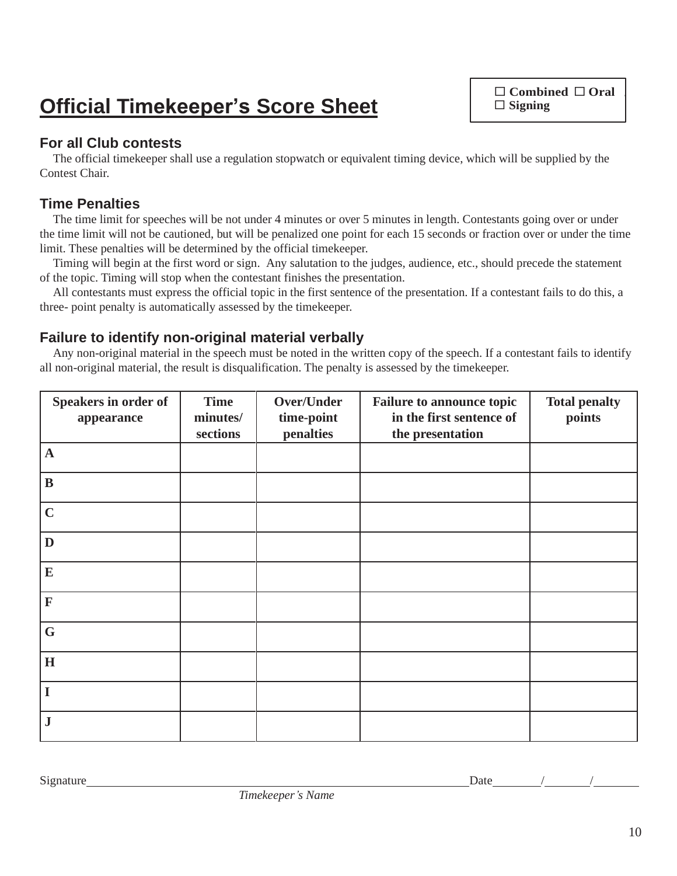# **Official Timekeeper's Score Sheet**

 **Combined Oral Signing**

#### **For all Club contests**

The official timekeeper shall use a regulation stopwatch or equivalent timing device, which will be supplied by the Contest Chair.

#### **Time Penalties**

The time limit for speeches will be not under 4 minutes or over 5 minutes in length. Contestants going over or under the time limit will not be cautioned, but will be penalized one point for each 15 seconds or fraction over or under the time limit. These penalties will be determined by the official timekeeper.

Timing will begin at the first word or sign. Any salutation to the judges, audience, etc., should precede the statement of the topic. Timing will stop when the contestant finishes the presentation.

All contestants must express the official topic in the first sentence of the presentation. If a contestant fails to do this, a three- point penalty is automatically assessed by the timekeeper.

#### **Failure to identify non-original material verbally**

Any non-original material in the speech must be noted in the written copy of the speech. If a contestant fails to identify all non-original material, the result is disqualification. The penalty is assessed by the timekeeper.

| Speakers in order of<br>appearance | <b>Time</b><br>minutes/<br>sections | Over/Under<br>time-point<br>penalties | <b>Failure to announce topic</b><br>in the first sentence of<br>the presentation | <b>Total penalty</b><br>points |
|------------------------------------|-------------------------------------|---------------------------------------|----------------------------------------------------------------------------------|--------------------------------|
| $\mathbf A$                        |                                     |                                       |                                                                                  |                                |
| $\bf{B}$                           |                                     |                                       |                                                                                  |                                |
| $\mathbf C$                        |                                     |                                       |                                                                                  |                                |
| D                                  |                                     |                                       |                                                                                  |                                |
| E                                  |                                     |                                       |                                                                                  |                                |
| $\mathbf F$                        |                                     |                                       |                                                                                  |                                |
| $\mathbf G$                        |                                     |                                       |                                                                                  |                                |
| $\mathbf H$                        |                                     |                                       |                                                                                  |                                |
| I                                  |                                     |                                       |                                                                                  |                                |
| $\bf J$                            |                                     |                                       |                                                                                  |                                |

*Timekeeper's Name*

Signature Date / /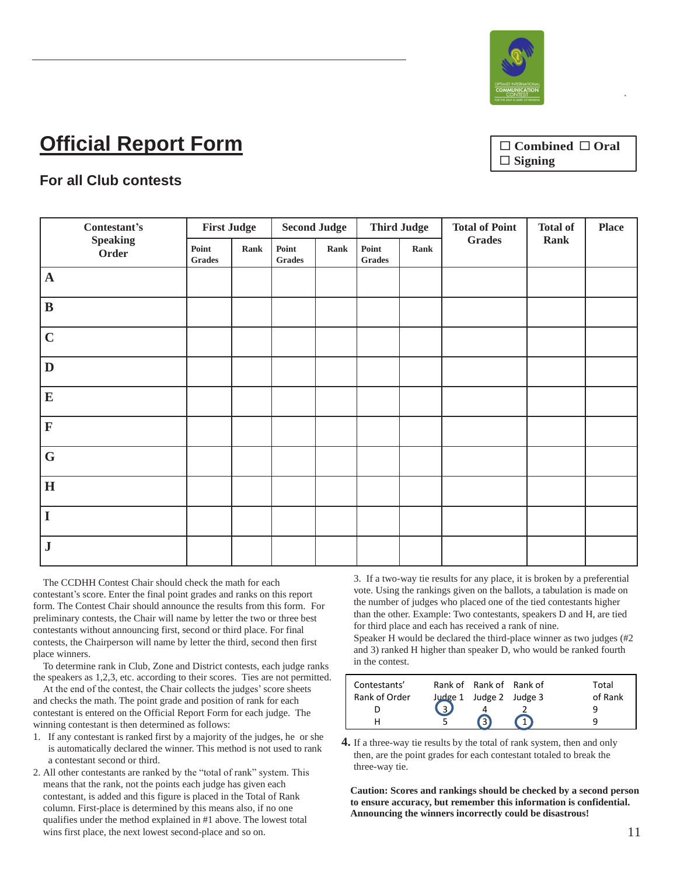

# **Official Report Form**

 **Combined Oral Signing**

**®**

#### **For all Club contests**

| Contestant's             | <b>First Judge</b>                                                                                     |      | <b>Second Judge</b>                                                                                    |      | <b>Third Judge</b> |      | <b>Total of Point</b> | <b>Total of</b> | <b>Place</b> |
|--------------------------|--------------------------------------------------------------------------------------------------------|------|--------------------------------------------------------------------------------------------------------|------|--------------------|------|-----------------------|-----------------|--------------|
| <b>Speaking</b><br>Order | Point<br>$\mathbf{Grades}% \left( \mathcal{N}\right) \equiv\mathcal{N}^{(1)}\left( \mathcal{N}\right)$ | Rank | Point<br>$\mathbf{Grades}% \left( \mathcal{N}\right) \equiv\mathcal{N}^{(1)}\left( \mathcal{N}\right)$ | Rank | Point<br>Grades    | Rank | <b>Grades</b>         | Rank            |              |
| $\mathbf A$              |                                                                                                        |      |                                                                                                        |      |                    |      |                       |                 |              |
| $\bf{B}$                 |                                                                                                        |      |                                                                                                        |      |                    |      |                       |                 |              |
| $\mathbf C$              |                                                                                                        |      |                                                                                                        |      |                    |      |                       |                 |              |
| $\mathbf D$              |                                                                                                        |      |                                                                                                        |      |                    |      |                       |                 |              |
| ${\bf E}$                |                                                                                                        |      |                                                                                                        |      |                    |      |                       |                 |              |
| $\mathbf F$              |                                                                                                        |      |                                                                                                        |      |                    |      |                       |                 |              |
| $\mathbf G$              |                                                                                                        |      |                                                                                                        |      |                    |      |                       |                 |              |
| $\mathbf H$              |                                                                                                        |      |                                                                                                        |      |                    |      |                       |                 |              |
| $\mathbf I$              |                                                                                                        |      |                                                                                                        |      |                    |      |                       |                 |              |
| ${\bf J}$                |                                                                                                        |      |                                                                                                        |      |                    |      |                       |                 |              |

The CCDHH Contest Chair should check the math for each contestant's score. Enter the final point grades and ranks on this report form. The Contest Chair should announce the results from this form. For preliminary contests, the Chair will name by letter the two or three best contestants without announcing first, second or third place. For final contests, the Chairperson will name by letter the third, second then first place winners.

To determine rank in Club, Zone and District contests, each judge ranks the speakers as 1,2,3, etc. according to their scores. Ties are not permitted.

At the end of the contest, the Chair collects the judges' score sheets and checks the math. The point grade and position of rank for each contestant is entered on the Official Report Form for each judge. The winning contestant is then determined as follows:

- 1. If any contestant is ranked first by a majority of the judges, he or she is automatically declared the winner. This method is not used to rank a contestant second or third.
- 2. All other contestants are ranked by the "total of rank" system. This means that the rank, not the points each judge has given each contestant, is added and this figure is placed in the Total of Rank column. First-place is determined by this means also, if no one qualifies under the method explained in #1 above. The lowest total wins first place, the next lowest second-place and so on.

3. If a two-way tie results for any place, it is broken by a preferential vote. Using the rankings given on the ballots, a tabulation is made on the number of judges who placed one of the tied contestants higher than the other. Example: Two contestants, speakers D and H, are tied for third place and each has received a rank of nine.

Speaker H would be declared the third-place winner as two judges (#2 and 3) ranked H higher than speaker D, who would be ranked fourth in the contest.

| Contestants'  | Rank of Rank of Rank of | Total   |
|---------------|-------------------------|---------|
| Rank of Order | Judge 1 Judge 2 Judge 3 | of Rank |
|               |                         |         |
|               |                         |         |

**4.** If a three-way tie results by the total of rank system, then and only then, are the point grades for each contestant totaled to break the three-way tie.

**Caution: Scores and rankings should be checked by a second person to ensure accuracy, but remember this information is confidential. Announcing the winners incorrectly could be disastrous!**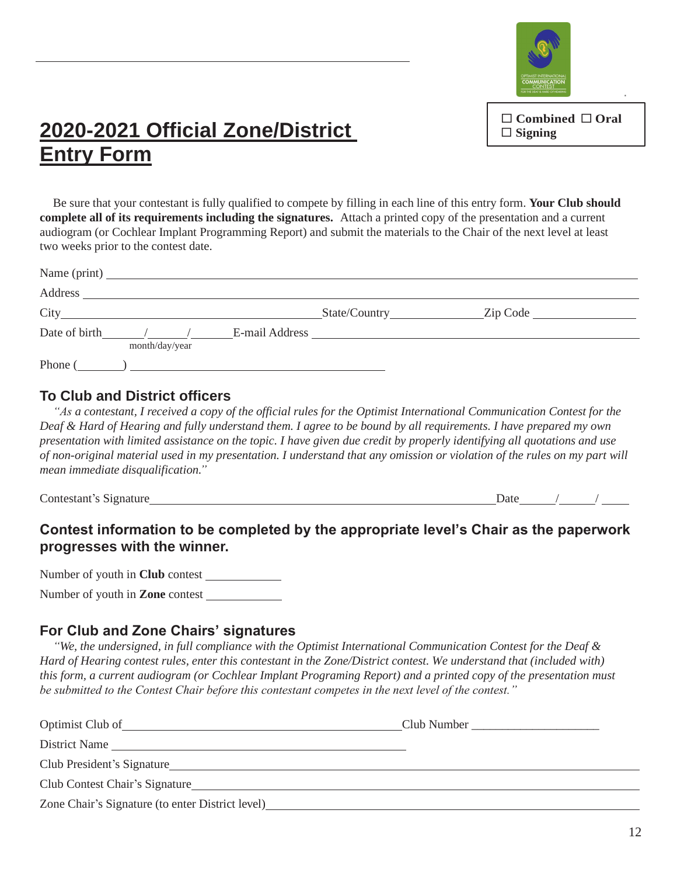

#### **Combined Oral Signing**

**®**

### **2020-2021 Official Zone/District Entry Form**

Be sure that your contestant is fully qualified to compete by filling in each line of this entry form. **Your Club should complete all of its requirements including the signatures.** Attach a printed copy of the presentation and a current audiogram (or Cochlear Implant Programming Report) and submit the materials to the Chair of the next level at least two weeks prior to the contest date.

|         | Name (print)                                                                                                                                                                                                                                     |  |                     |
|---------|--------------------------------------------------------------------------------------------------------------------------------------------------------------------------------------------------------------------------------------------------|--|---------------------|
|         |                                                                                                                                                                                                                                                  |  |                     |
|         |                                                                                                                                                                                                                                                  |  | $\mathsf{Zip Code}$ |
|         | Date of birth the top of the term of the term of the term of the term of the term of the term of the term of the term of the term of the term of the term of the term of the term of the term of the term of the term of the t<br>month/day/year |  |                     |
| Phone ( | о производит в составительность при постоянии с производительность при постоянии с производительность при при<br>В составите при постоянии с при постоянии с при постоянии с при постоянии с при постоянии с при постоянии с пр                  |  |                     |

#### **To Club and District officers**

*"As a contestant, I received a copy of the official rules for the Optimist International Communication Contest for the Deaf & Hard of Hearing and fully understand them. I agree to be bound by all requirements. I have prepared my own presentation with limited assistance on the topic. I have given due credit by properly identifying all quotations and use of non-original material used in my presentation. I understand that any omission or violation of the rules on my part will mean immediate disqualification."*

Contestant's Signature Date / /

### **Contest information to be completed by the appropriate level's Chair as the paperwork progresses with the winner.**

Number of youth in **Club** contest

Number of youth in **Zone** contest

#### **For Club and Zone Chairs' signatures**

*"We, the undersigned, in full compliance with the Optimist International Communication Contest for the Deaf & Hard of Hearing contest rules, enter this contestant in the Zone/District contest. We understand that (included with) this form, a current audiogram (or Cochlear Implant Programing Report) and a printed copy of the presentation must be submitted to the Contest Chair before this contestant competes in the next level of the contest."*

| Optimist Club of                                                                                                                                                                                                               |  |
|--------------------------------------------------------------------------------------------------------------------------------------------------------------------------------------------------------------------------------|--|
| District Name                                                                                                                                                                                                                  |  |
| Club President's Signature example of the state of the state of the state of the state of the state of the state of the state of the state of the state of the state of the state of the state of the state of the state of th |  |
| Club Contest Chair's Signature                                                                                                                                                                                                 |  |
| Zone Chair's Signature (to enter District level)                                                                                                                                                                               |  |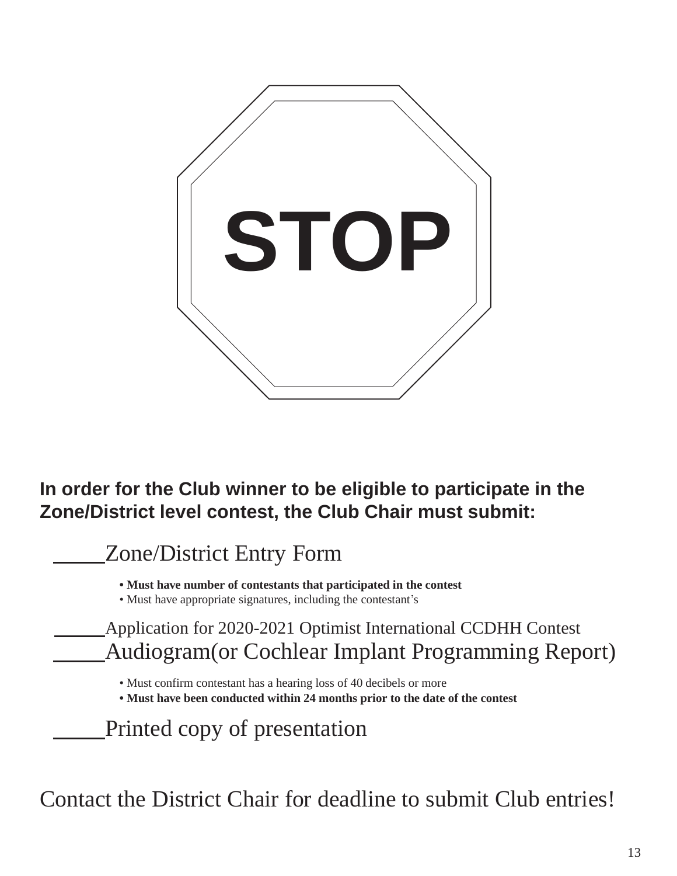

### **In order for the Club winner to be eligible to participate in the Zone/District level contest, the Club Chair must submit:**

Zone/District Entry Form

**• Must have number of contestants that participated in the contest**

• Must have appropriate signatures, including the contestant's

Application for 2020-2021 Optimist International CCDHH Contest Audiogram(or Cochlear Implant Programming Report)

• Must confirm contestant has a hearing loss of 40 decibels or more

**• Must have been conducted within 24 months prior to the date of the contest**

Printed copy of presentation

Contact the District Chair for deadline to submit Club entries!